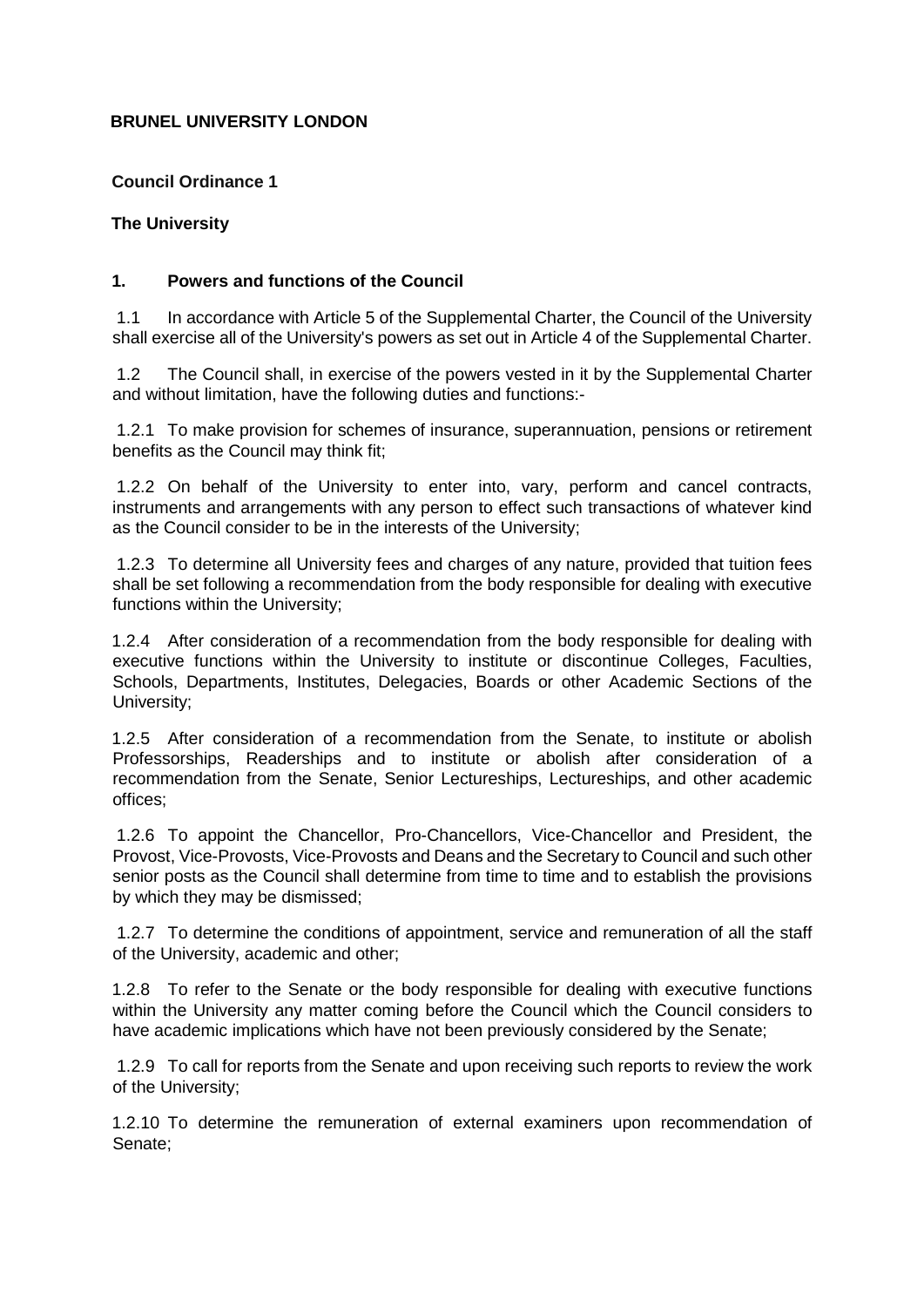# **BRUNEL UNIVERSITY LONDON**

### **Council Ordinance 1**

# **The University**

### **1. Powers and functions of the Council**

1.1 In accordance with Article 5 of the Supplemental Charter, the Council of the University shall exercise all of the University's powers as set out in Article 4 of the Supplemental Charter.

1.2 The Council shall, in exercise of the powers vested in it by the Supplemental Charter and without limitation, have the following duties and functions:-

1.2.1 To make provision for schemes of insurance, superannuation, pensions or retirement benefits as the Council may think fit;

1.2.2 On behalf of the University to enter into, vary, perform and cancel contracts, instruments and arrangements with any person to effect such transactions of whatever kind as the Council consider to be in the interests of the University;

1.2.3 To determine all University fees and charges of any nature, provided that tuition fees shall be set following a recommendation from the body responsible for dealing with executive functions within the University;

1.2.4 After consideration of a recommendation from the body responsible for dealing with executive functions within the University to institute or discontinue Colleges, Faculties, Schools, Departments, Institutes, Delegacies, Boards or other Academic Sections of the University;

1.2.5 After consideration of a recommendation from the Senate, to institute or abolish Professorships, Readerships and to institute or abolish after consideration of a recommendation from the Senate, Senior Lectureships, Lectureships, and other academic offices;

1.2.6 To appoint the Chancellor, Pro-Chancellors, Vice-Chancellor and President, the Provost, Vice-Provosts, Vice-Provosts and Deans and the Secretary to Council and such other senior posts as the Council shall determine from time to time and to establish the provisions by which they may be dismissed;

1.2.7 To determine the conditions of appointment, service and remuneration of all the staff of the University, academic and other;

1.2.8 To refer to the Senate or the body responsible for dealing with executive functions within the University any matter coming before the Council which the Council considers to have academic implications which have not been previously considered by the Senate;

1.2.9 To call for reports from the Senate and upon receiving such reports to review the work of the University;

1.2.10 To determine the remuneration of external examiners upon recommendation of Senate;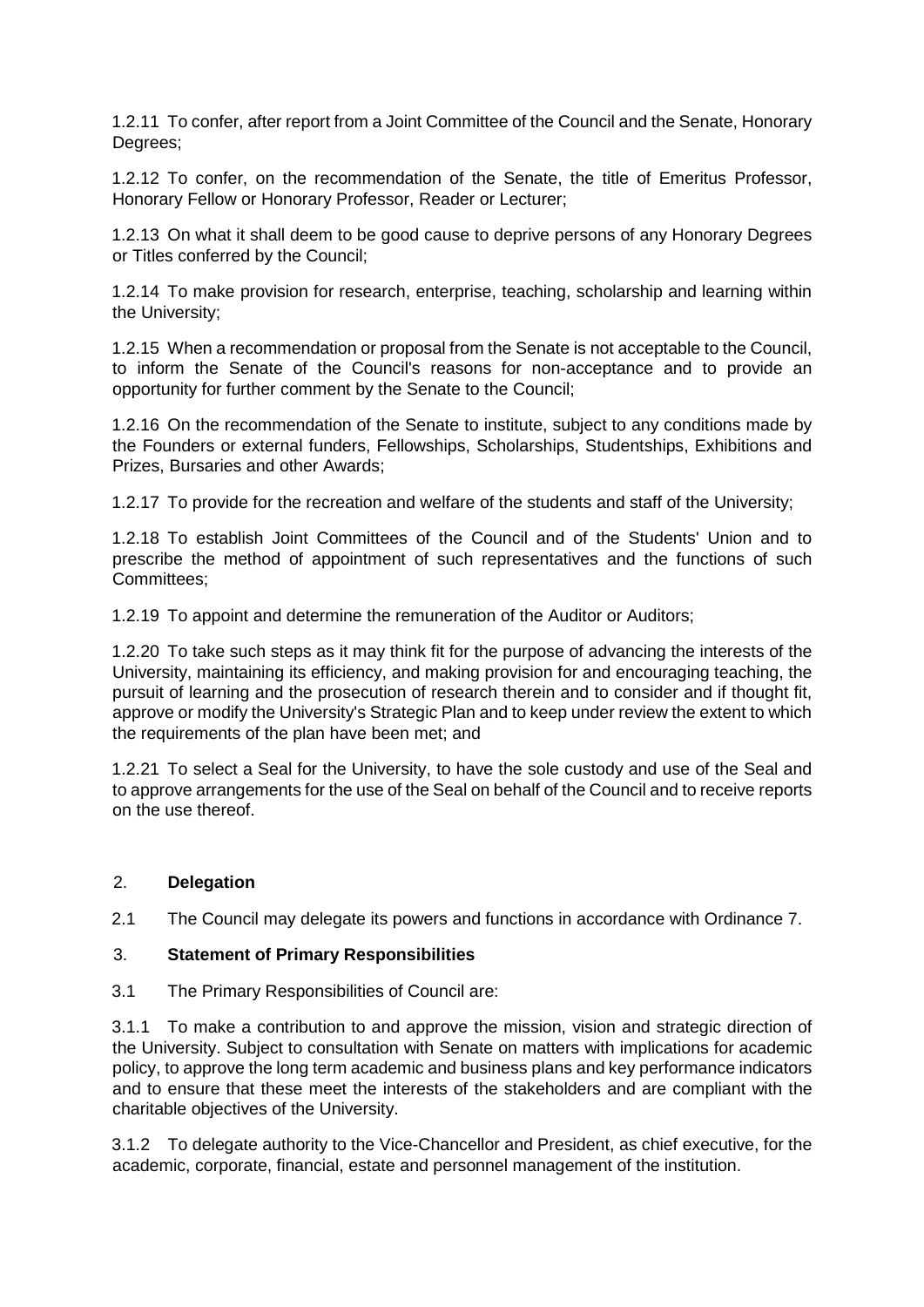1.2.11 To confer, after report from a Joint Committee of the Council and the Senate, Honorary Degrees;

1.2.12 To confer, on the recommendation of the Senate, the title of Emeritus Professor, Honorary Fellow or Honorary Professor, Reader or Lecturer;

1.2.13 On what it shall deem to be good cause to deprive persons of any Honorary Degrees or Titles conferred by the Council;

1.2.14 To make provision for research, enterprise, teaching, scholarship and learning within the University;

1.2.15 When a recommendation or proposal from the Senate is not acceptable to the Council, to inform the Senate of the Council's reasons for non-acceptance and to provide an opportunity for further comment by the Senate to the Council;

1.2.16 On the recommendation of the Senate to institute, subject to any conditions made by the Founders or external funders, Fellowships, Scholarships, Studentships, Exhibitions and Prizes, Bursaries and other Awards;

1.2.17 To provide for the recreation and welfare of the students and staff of the University;

1.2.18 To establish Joint Committees of the Council and of the Students' Union and to prescribe the method of appointment of such representatives and the functions of such Committees;

1.2.19 To appoint and determine the remuneration of the Auditor or Auditors;

1.2.20 To take such steps as it may think fit for the purpose of advancing the interests of the University, maintaining its efficiency, and making provision for and encouraging teaching, the pursuit of learning and the prosecution of research therein and to consider and if thought fit, approve or modify the University's Strategic Plan and to keep under review the extent to which the requirements of the plan have been met; and

1.2.21 To select a Seal for the University, to have the sole custody and use of the Seal and to approve arrangements for the use of the Seal on behalf of the Council and to receive reports on the use thereof.

# 2. **Delegation**

2.1 The Council may delegate its powers and functions in accordance with Ordinance 7.

#### 3. **Statement of Primary Responsibilities**

3.1 The Primary Responsibilities of Council are:

3.1.1 To make a contribution to and approve the mission, vision and strategic direction of the University. Subject to consultation with Senate on matters with implications for academic policy, to approve the long term academic and business plans and key performance indicators and to ensure that these meet the interests of the stakeholders and are compliant with the charitable objectives of the University.

3.1.2 To delegate authority to the Vice-Chancellor and President, as chief executive, for the academic, corporate, financial, estate and personnel management of the institution.